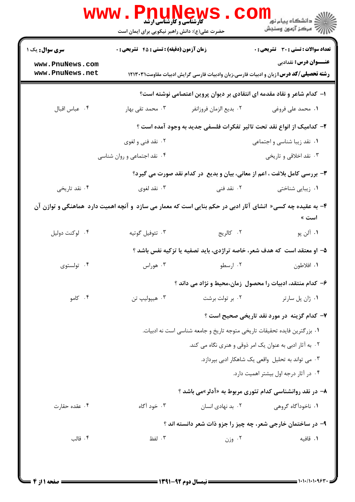|                                                                                                                      | <b>WWW.PNU</b><br><b>کارشناسی و کارشناسی ارشد</b><br>حضرت علی(ع): دانش راهبر نیکویی برای ایمان است                           |                                                                           | <sup>ان</sup> گ دانشگاه پيام نور "<br>  <i>  *</i><br>  # مرکز آزمون وسنجش |  |  |
|----------------------------------------------------------------------------------------------------------------------|------------------------------------------------------------------------------------------------------------------------------|---------------------------------------------------------------------------|----------------------------------------------------------------------------|--|--|
| <b>سری سوال :</b> یک ۱                                                                                               | زمان آزمون (دقیقه) : تستی : 45 گتشریحی : 0                                                                                   |                                                                           | <b>تعداد سوالات : تستی : 30 ٪ تشریحی : 0</b>                               |  |  |
| www.PnuNews.com<br>www.PnuNews.net                                                                                   | <b>عنـــوان درس:</b> نقدادبي<br><b>رشته تحصیلی/کد درس:</b> زبان و ادبیات فارسی،زبان وادبیات فارسی گرایش ادبیات مقاومت۱۲۱۳۰۳۱ |                                                                           |                                                                            |  |  |
|                                                                                                                      | ا– کدام شاعر و نقاد مقدمه ای انتقادی بر دیوان پروین اعتصامی نوشته است؟                                                       |                                                                           |                                                                            |  |  |
| ۰۴ عباس اقبال                                                                                                        | ۰۳ محمد تقی بهار                                                                                                             | ٠٢ بديع الزمان فروزانفر                                                   | ۰۱ محمد علی فروغی                                                          |  |  |
|                                                                                                                      |                                                                                                                              |                                                                           | ۲- کدامیک از انواع نقد تحت تاثیر تفکرات فلسفی جدید به وجود آمده است ؟      |  |  |
|                                                                                                                      | ۲. نقد فنی و لغوی                                                                                                            |                                                                           | ۰۱ نقد زیبا شناسی و اجتماعی                                                |  |  |
|                                                                                                                      | ۰۴ نقد اجتماعی و روان شناسی                                                                                                  |                                                                           | ۰۳ نقد اخلاقی و تاریخی                                                     |  |  |
|                                                                                                                      | ۳- بررسی کامل بلاغت ، اعم از معانی، بیان و بدیع ً در کدام نقد صورت می گیرد؟                                                  |                                                                           |                                                                            |  |  |
| ۰۴ نقد تاریخی                                                                                                        | ۰۳ نقد لغوی                                                                                                                  | ۲. نقد فنی                                                                | ۰۱ زیبایی شناختی                                                           |  |  |
| ۴- به عقیده چه کسی« انشای آثار ادبی در حکم بنایی است که معمار می سازد و آنچه اهمیت دارد  هماهنگی و توازن آن<br>است » |                                                                                                                              |                                                                           |                                                                            |  |  |
| ۰۴ لوکنت دوليل                                                                                                       | ۰۳ تئوفيل گوتيه                                                                                                              | ٢. كالريج                                                                 | ۰۱ آلن پو                                                                  |  |  |
|                                                                                                                      |                                                                                                                              |                                                                           | ۵– او معتقد است که هدف شعر، خاصه تراژدی، باید تصفیه یا تزکیه نفس باشد ؟    |  |  |
| ۰۴ تولستوي                                                                                                           | ۰۳ هوراس                                                                                                                     | ۰۲ ارسطو                                                                  | ٠١. افلاطون                                                                |  |  |
|                                                                                                                      |                                                                                                                              |                                                                           | ۶– کدام منتقد، ادبیات را محصول زمان،محیط و نژاد می داند ؟                  |  |  |
| ۰۴ کامو                                                                                                              | ۰۳ هيپوليپ تن                                                                                                                | ۰۲ بر تولت برشت                                                           | ۰۱ ژان پل سارتر                                                            |  |  |
|                                                                                                                      |                                                                                                                              |                                                                           | ۷- کدام گزینه در مورد نقد تاریخی صحیح است ؟                                |  |  |
|                                                                                                                      |                                                                                                                              | ٠١ بزرگترين فايده تحقيقات تاريخي متوجه تاريخ و جامعه شناسي است نه ادبيات. |                                                                            |  |  |
|                                                                                                                      |                                                                                                                              |                                                                           | ۰۲ به آثار ادبی به عنوان یک امر ذوقی و هنری نگاه می کند.                   |  |  |
|                                                                                                                      |                                                                                                                              |                                                                           | ۰۳ می تواند به تحلیل واقعی یک شاهکار ادبی بپردازد.                         |  |  |
|                                                                                                                      |                                                                                                                              |                                                                           | ۰۴ در آثار درجه اول بیشتر اهمیت دارد.                                      |  |  |
|                                                                                                                      |                                                                                                                              |                                                                           | ۸- در نقد روانشناسی کدام تئوری مربوط به «آدلر»می باشد ؟                    |  |  |
| ۰۴ عقده حقارت                                                                                                        | ۰۳ خود آگاه                                                                                                                  | ۰۲ بد نهادی انسان                                                         | ۰۱ ناخودآگاه گروهی                                                         |  |  |
|                                                                                                                      | ۹- در ساختمان خارجی شعر، چه چیز را جزو ذات شعر دانسته اند ؟                                                                  |                                                                           |                                                                            |  |  |
| ۰۴ قالب                                                                                                              | ۰۳ لفظ                                                                                                                       | ۰۲ وزن                                                                    | ٠١. قافيه                                                                  |  |  |
|                                                                                                                      |                                                                                                                              |                                                                           |                                                                            |  |  |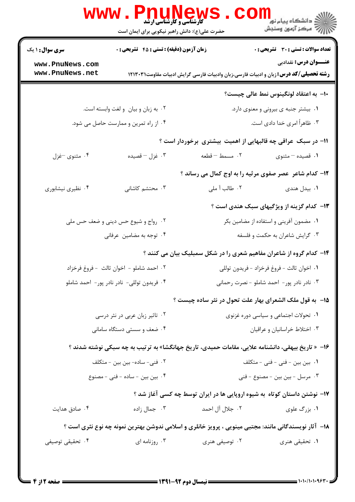|                                            | حضرت علی(ع): دانش راهبر نیکویی برای ایمان است                                                     | <b>www.PnuNews</b>                         | ڪ دانشڪاه پيام نور<br><mark>∕</mark> > مرڪز آزمون وسنڊش                                                                      |  |
|--------------------------------------------|---------------------------------------------------------------------------------------------------|--------------------------------------------|------------------------------------------------------------------------------------------------------------------------------|--|
| <b>سری سوال : ۱ یک</b>                     | <b>زمان آزمون (دقیقه) : تستی : 45 گشریحی : 0</b>                                                  |                                            | <b>تعداد سوالات : تستی : 30 ٪ تشریحی : 0</b>                                                                                 |  |
| www.PnuNews.com<br>www.PnuNews.net         |                                                                                                   |                                            | <b>عنـــوان درس:</b> نقدادبي<br><b>رشته تحصیلی/کد درس:</b> زبان و ادبیات فارسی،زبان وادبیات فارسی گرایش ادبیات مقاومت۱۲۱۳۰۳۱ |  |
|                                            |                                                                                                   |                                            |                                                                                                                              |  |
|                                            |                                                                                                   |                                            | ∙ا− به اعتقاد لونگینوس نمط عالی چیست؟                                                                                        |  |
|                                            | ۰۲ به زبان و بیان و لغت وابسته است.                                                               |                                            | ۰۱ بیشتر جنبه ی بیرونی و معنوی دارد.                                                                                         |  |
|                                            | ۰۴ از راه تمرین و ممارست حاصل می شود.                                                             |                                            | ۰۳ ظاهراً امری خدا دادی است.                                                                                                 |  |
|                                            |                                                                                                   |                                            | 1۱– در سبک عراقی چه قالبهایی از اهمیت بیشتری برخوردار است ؟                                                                  |  |
| ۰۴ مثنوي -غزل                              | ۰۳ غزل – قصیده                                                                                    | ٢. مسمط -قطعه                              | ۰۱ قصیده – مثنوی                                                                                                             |  |
|                                            |                                                                                                   |                                            | <b>۱۲</b> - کدام شاعر عصر صفوی مرثیه را به اوج کمال می رساند ؟                                                               |  |
| ۰۴ نظیری نیشابوری                          | ۰۳ محتشم کاشانی                                                                                   | ۰۲ طالب آ ملی                              | ۰۱ بیدل هندی                                                                                                                 |  |
|                                            |                                                                                                   |                                            | <b>۱۳</b> - کدام گزینه از ویژگیهای سبک هندی است ؟                                                                            |  |
|                                            | ۰۲ رواج و شیوع حس دینی و ضعف حس ملی                                                               | ٠١ مضمون آفريني و استفاده از مضامين بكر    |                                                                                                                              |  |
|                                            | ۰۴ توجه به مضامین عرفانی                                                                          |                                            | ۰۳ گرایش شاعران به حکمت و فلسفه                                                                                              |  |
|                                            |                                                                                                   |                                            | ۱۴- کدام گروه از شاعران مفاهیم شعری را در شکل سمبلیک بیان می کنند ؟                                                          |  |
| ٠٢ احمد شاملو - اخوان ثالث  - فروغ فرخزاد  |                                                                                                   | ٠١ اخوان ثالث - فروغ فرخزاد - فريدون توللي |                                                                                                                              |  |
| ۰۴ فریدون توللی- نادر نادر پور- احمد شاملو |                                                                                                   | ۰۳ نادر نادر پور- احمد شاملو - نصرت رحمانی |                                                                                                                              |  |
|                                            |                                                                                                   |                                            | ۱۵– به قول ملک الشعرای بهار علت تحول در نثر ساده چیست ؟                                                                      |  |
| ۰۲ تاثیر زبان عربی در نثر درسی             |                                                                                                   | ۰۱ تحولات اجتماعی و سیاسی دوره غزنوی       |                                                                                                                              |  |
| ۰۴ ضعف و سستی دستگاه سامانی                |                                                                                                   | ۰۳ اختلاط خراسانیان و عراقیان              |                                                                                                                              |  |
|                                            | ۱۶–  « تاریخ بیهقی، دانشنامه علایی، مقامات حمیدی، تاریخ جهانگشا» به ترتیب به چه سبکی نوشته شدند ؟ |                                            |                                                                                                                              |  |
|                                            | ۰۲ فنی– ساده– بین بین – متکلف                                                                     |                                            | ۰۱ بین بین – فنی – فنی – متکلف                                                                                               |  |
| ۰۴ بین بین - ساده - فنی - مصنوع            |                                                                                                   | ۰۳ مرسل - بین بین - مصنوع - فنی            |                                                                                                                              |  |
|                                            |                                                                                                   |                                            | ۱۷- نوشتن داستان کوتاه به شیوه اروپایی ها در ایران توسط چه کسی آغاز شد ؟                                                     |  |
| ۰۴ صادق هدایت                              | ۰۳ جمال زاده                                                                                      | ٢. جلال آل احمد                            | ۰۱ بزرگ علوی                                                                                                                 |  |
|                                            |                                                                                                   |                                            |                                                                                                                              |  |
|                                            |                                                                                                   |                                            | ۱۸- آثار نویسندگانی مانند: مجتبی مینویی ، پرویز خانلری و اسلامی ندوشن بهترین نمونه چه نوع نثری است ؟                         |  |
| ۰۴ تحقیقی توصیفی                           | ۰۳ روزنامه ای                                                                                     | ۰۲ توصیفی هنری                             | ۰۱ تحقیقی هنری                                                                                                               |  |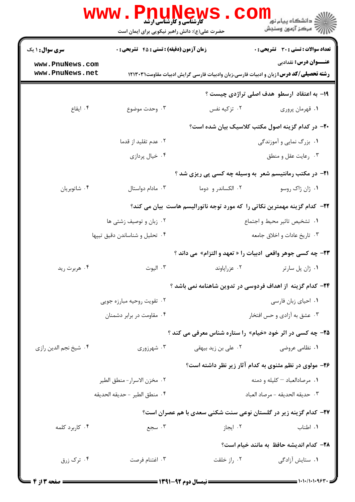|                                    | www . Pnu<br>حضرت علی(ع): دانش راهبر نیکویی برای ایمان است | <b>کارشناسی و کارشناسی ارشد</b>                        | ڪ دانشڪاه پيام نور<br>7- مرڪز آزمون وسنڊش                                                                                    |  |
|------------------------------------|------------------------------------------------------------|--------------------------------------------------------|------------------------------------------------------------------------------------------------------------------------------|--|
| <b>سری سوال : ۱ یک</b>             | <b>زمان آزمون (دقیقه) : تستی : 45 تشریحی : 0</b>           |                                                        | تعداد سوالات : تستي : 30 ٪ تشريحي : 0                                                                                        |  |
| www.PnuNews.com<br>www.PnuNews.net |                                                            |                                                        | <b>عنـــوان درس:</b> نقدادبي<br><b>رشته تحصیلی/کد درس:</b> زبان و ادبیات فارسی،زبان وادبیات فارسی گرایش ادبیات مقاومت۱۲۱۳۰۳۱ |  |
|                                    |                                                            |                                                        | ۱۹- به اعتقاد ارسطو هدف اصلی تراژدی چیست ؟                                                                                   |  |
| ۰۴ ایقاع                           | ۰۳ وحدت موضوع                                              | ۰۲ تزکیه نفس                                           | ٠١ قهرمان پروري                                                                                                              |  |
|                                    |                                                            |                                                        | -۲- در کدام گزینه اصول مکتب کلاسیک بیان شده است؟                                                                             |  |
|                                    | ۰۲ عدم تقلید از قدما                                       |                                                        | ۰۱ بزرگ نمایی و آموزندگی                                                                                                     |  |
|                                    | ۰۴ خیال پردازی                                             |                                                        | ۰۳ رعايت عقل و منطق                                                                                                          |  |
|                                    |                                                            |                                                        | <b>۲۱</b> - در مکتب رمانتیسم شعر به وسیله چه کسی پی ریزی شد ؟                                                                |  |
| ۰۴ شاتوبريان                       | ۰۳ مادام دواستال                                           | ۰۲ الکساندر و دوما                                     | ٠١ ژان ژاک روسو                                                                                                              |  |
|                                    |                                                            |                                                        | <b>۲۲</b> – کدام گزینه مهمترین نکاتی را که مورد توجه ناتورالیسم هاست بیان می کند؟                                            |  |
|                                    | ۰۲ زبان و توصیف زشتی ها                                    |                                                        | ٠١ تشخيص تاثير محيط واجتماع                                                                                                  |  |
|                                    | ۰۴ تحلیل و شناساندن دقیق تیپها                             |                                                        | ۰۳ تاريخ عادات و اخلاق جامعه                                                                                                 |  |
|                                    |                                                            |                                                        | <b>۲۳</b> - چه کسی جوهر واقعی  ادبیات را « تعهد و التزام»  می داند ؟                                                         |  |
| ۰۴ هربرت ريد                       | ۰۳ اليوت                                                   | ٠٢ عزراپاوند                                           | ٠١ ژان پل سارتر                                                                                                              |  |
|                                    |                                                            |                                                        | ۲۴– کدام گزینه از اهداف فردوسی در تدوین شاهنامه نمی باشد ؟                                                                   |  |
|                                    | ۰۲ تقویت روحیه مبارزه جویی                                 |                                                        | ٠١ احياي زبان فارسي                                                                                                          |  |
|                                    | ۰۴ مقاومت در برابر دشمنان                                  |                                                        | ۰۳ عشق به آزادي و حس افتخار                                                                                                  |  |
|                                    |                                                            |                                                        | <b>۲۵</b> - چه کسی در اثر خود «خیام» را ستاره شناس معرفی می کند ؟                                                            |  |
| ۰۴ شیخ نجم الدین رازی              | ۰۳ شهرزوری                                                 | ۰۲ علی بن زید بیهقی                                    | ۰۱ نظامی عروضی                                                                                                               |  |
|                                    |                                                            | ۲۶- مولوی در نظم مثنوی به کدام آثار زیر نظر داشته است؟ |                                                                                                                              |  |
|                                    | ٠٢ مخزن الاسرار- منطق الطير                                |                                                        | ۰۱ مرصادالعباد - کلیله و دمنه                                                                                                |  |
|                                    | ۰۴ منطق الطير - حديقه الحديقه                              |                                                        | ٠٣ حديقه الحديقه - مرصاد العباد                                                                                              |  |
|                                    |                                                            |                                                        | ۲۷- کدام گزینه زیر در گلستان نوعی سنت شکنی سعدی با هم عصران است؟                                                             |  |
| ۰۴ کاربرد کلمه                     | ۰۳ سجع                                                     | ۰۲ ایجاز                                               | ۰۱ اطناب                                                                                                                     |  |
|                                    |                                                            |                                                        | ٢٨- كدام انديشه حافظ به مانند خيام است؟                                                                                      |  |
| ۰۴ ترک زرق                         | ۰۳ اغتنام فرصت                                             | ۰۲ راز خلقت                                            | ۰۱ ستایش آزادگی                                                                                                              |  |
|                                    |                                                            |                                                        |                                                                                                                              |  |